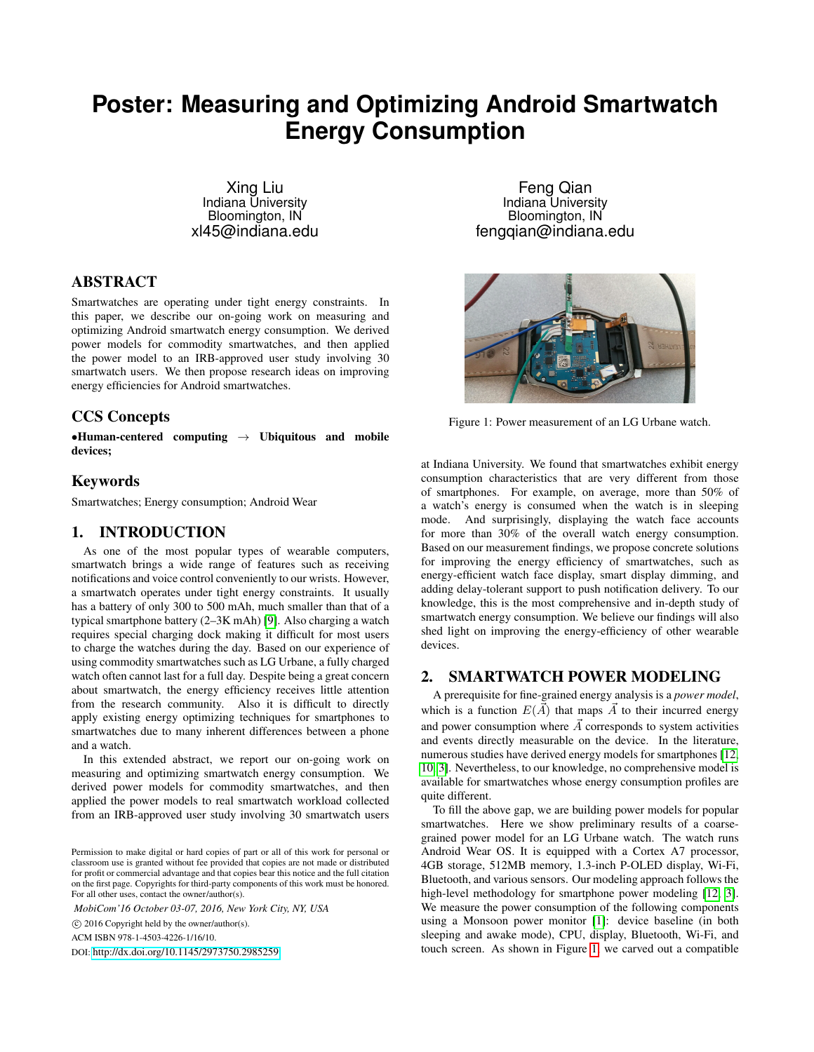# **Poster: Measuring and Optimizing Android Smartwatch Energy Consumption**

Xing Liu Indiana University Bloomington, IN xl45@indiana.edu

# ABSTRACT

Smartwatches are operating under tight energy constraints. In this paper, we describe our on-going work on measuring and optimizing Android smartwatch energy consumption. We derived power models for commodity smartwatches, and then applied the power model to an IRB-approved user study involving 30 smartwatch users. We then propose research ideas on improving energy efficiencies for Android smartwatches.

## CCS Concepts

 $\bullet$ Human-centered computing  $\to$  Ubiquitous and mobile devices;

## Keywords

Smartwatches; Energy consumption; Android Wear

### 1. INTRODUCTION

As one of the most popular types of wearable computers, smartwatch brings a wide range of features such as receiving notifications and voice control conveniently to our wrists. However, a smartwatch operates under tight energy constraints. It usually has a battery of only 300 to 500 mAh, much smaller than that of a typical smartphone battery (2–3K mAh) [\[9\]](#page-2-0). Also charging a watch requires special charging dock making it difficult for most users to charge the watches during the day. Based on our experience of using commodity smartwatches such as LG Urbane, a fully charged watch often cannot last for a full day. Despite being a great concern about smartwatch, the energy efficiency receives little attention from the research community. Also it is difficult to directly apply existing energy optimizing techniques for smartphones to smartwatches due to many inherent differences between a phone and a watch.

In this extended abstract, we report our on-going work on measuring and optimizing smartwatch energy consumption. We derived power models for commodity smartwatches, and then applied the power models to real smartwatch workload collected from an IRB-approved user study involving 30 smartwatch users

*MobiCom'16 October 03-07, 2016, New York City, NY, USA*

c 2016 Copyright held by the owner/author(s).

ACM ISBN 978-1-4503-4226-1/16/10.

DOI: <http://dx.doi.org/10.1145/2973750.2985259>

Feng Qian Indiana University Bloomington, IN fengqian@indiana.edu

<span id="page-0-0"></span>

Figure 1: Power measurement of an LG Urbane watch.

at Indiana University. We found that smartwatches exhibit energy consumption characteristics that are very different from those of smartphones. For example, on average, more than 50% of a watch's energy is consumed when the watch is in sleeping mode. And surprisingly, displaying the watch face accounts for more than 30% of the overall watch energy consumption. Based on our measurement findings, we propose concrete solutions for improving the energy efficiency of smartwatches, such as energy-efficient watch face display, smart display dimming, and adding delay-tolerant support to push notification delivery. To our knowledge, this is the most comprehensive and in-depth study of smartwatch energy consumption. We believe our findings will also shed light on improving the energy-efficiency of other wearable devices.

# 2. SMARTWATCH POWER MODELING

A prerequisite for fine-grained energy analysis is a *power model*, which is a function  $E(\vec{A})$  that maps  $\vec{A}$  to their incurred energy and power consumption where  $\vec{A}$  corresponds to system activities and events directly measurable on the device. In the literature, numerous studies have derived energy models for smartphones [\[12,](#page-2-1) [10,](#page-2-2) [3\]](#page-2-3). Nevertheless, to our knowledge, no comprehensive model is available for smartwatches whose energy consumption profiles are quite different.

To fill the above gap, we are building power models for popular smartwatches. Here we show preliminary results of a coarsegrained power model for an LG Urbane watch. The watch runs Android Wear OS. It is equipped with a Cortex A7 processor, 4GB storage, 512MB memory, 1.3-inch P-OLED display, Wi-Fi, Bluetooth, and various sensors. Our modeling approach follows the high-level methodology for smartphone power modeling [\[12,](#page-2-1) [3\]](#page-2-3). We measure the power consumption of the following components using a Monsoon power monitor [\[1\]](#page-2-4): device baseline (in both sleeping and awake mode), CPU, display, Bluetooth, Wi-Fi, and touch screen. As shown in Figure [1,](#page-0-0) we carved out a compatible

Permission to make digital or hard copies of part or all of this work for personal or classroom use is granted without fee provided that copies are not made or distributed for profit or commercial advantage and that copies bear this notice and the full citation on the first page. Copyrights for third-party components of this work must be honored. For all other uses, contact the owner/author(s).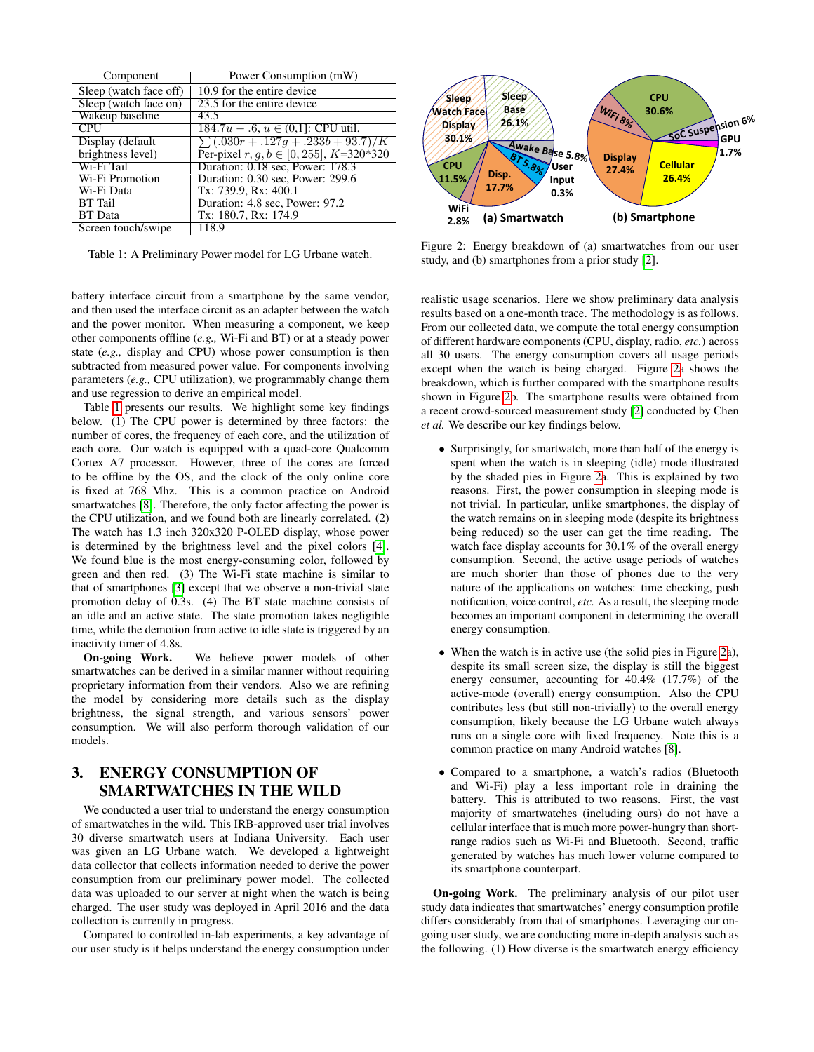<span id="page-1-0"></span>

| Component              | Power Consumption (mW)                       |
|------------------------|----------------------------------------------|
| Sleep (watch face off) | 10.9 for the entire device                   |
| Sleep (watch face on)  | 23.5 for the entire device                   |
| Wakeup baseline        | 43.5                                         |
| <b>CPU</b>             | $184.7u - .6, u \in (0,1]$ : CPU util.       |
| Display (default       | $\sum$ (.030r + .127g + .233b + 93.7)/K      |
| brightness level)      | Per-pixel $r, g, b \in [0, 255]$ , K=320*320 |
| Wi-Fi Tail             | Duration: 0.18 sec, Power: 178.3             |
| Wi-Fi Promotion        | Duration: 0.30 sec, Power: 299.6             |
| Wi-Fi Data             | Tx: 739.9, Rx: 400.1                         |
| <b>BT</b> Tail         | Duration: 4.8 sec, Power: 97.2               |
| <b>BT</b> Data         | Tx: 180.7, Rx: 174.9                         |
| Screen touch/swipe     | 118.9                                        |

Table 1: A Preliminary Power model for LG Urbane watch.

battery interface circuit from a smartphone by the same vendor, and then used the interface circuit as an adapter between the watch and the power monitor. When measuring a component, we keep other components offline (*e.g.,* Wi-Fi and BT) or at a steady power state (*e.g.,* display and CPU) whose power consumption is then subtracted from measured power value. For components involving parameters (*e.g.,* CPU utilization), we programmably change them and use regression to derive an empirical model.

Table [1](#page-1-0) presents our results. We highlight some key findings below. (1) The CPU power is determined by three factors: the number of cores, the frequency of each core, and the utilization of each core. Our watch is equipped with a quad-core Qualcomm Cortex A7 processor. However, three of the cores are forced to be offline by the OS, and the clock of the only online core is fixed at 768 Mhz. This is a common practice on Android smartwatches [\[8\]](#page-2-5). Therefore, the only factor affecting the power is the CPU utilization, and we found both are linearly correlated. (2) The watch has 1.3 inch 320x320 P-OLED display, whose power is determined by the brightness level and the pixel colors [\[4\]](#page-2-6). We found blue is the most energy-consuming color, followed by green and then red. (3) The Wi-Fi state machine is similar to that of smartphones [\[3\]](#page-2-3) except that we observe a non-trivial state promotion delay of 0.3s. (4) The BT state machine consists of an idle and an active state. The state promotion takes negligible time, while the demotion from active to idle state is triggered by an inactivity timer of 4.8s.

On-going Work. We believe power models of other smartwatches can be derived in a similar manner without requiring proprietary information from their vendors. Also we are refining the model by considering more details such as the display brightness, the signal strength, and various sensors' power consumption. We will also perform thorough validation of our models.

# <span id="page-1-2"></span>3. ENERGY CONSUMPTION OF SMARTWATCHES IN THE WILD

We conducted a user trial to understand the energy consumption of smartwatches in the wild. This IRB-approved user trial involves 30 diverse smartwatch users at Indiana University. Each user was given an LG Urbane watch. We developed a lightweight data collector that collects information needed to derive the power consumption from our preliminary power model. The collected data was uploaded to our server at night when the watch is being charged. The user study was deployed in April 2016 and the data collection is currently in progress.

Compared to controlled in-lab experiments, a key advantage of our user study is it helps understand the energy consumption under

<span id="page-1-1"></span>

Figure 2: Energy breakdown of (a) smartwatches from our user study, and (b) smartphones from a prior study [\[2\]](#page-2-7).

realistic usage scenarios. Here we show preliminary data analysis results based on a one-month trace. The methodology is as follows. From our collected data, we compute the total energy consumption of different hardware components (CPU, display, radio, *etc.*) across all 30 users. The energy consumption covers all usage periods except when the watch is being charged. Figure [2a](#page-1-1) shows the breakdown, which is further compared with the smartphone results shown in Figure [2b](#page-1-1). The smartphone results were obtained from a recent crowd-sourced measurement study [\[2\]](#page-2-7) conducted by Chen *et al.* We describe our key findings below.

- Surprisingly, for smartwatch, more than half of the energy is spent when the watch is in sleeping (idle) mode illustrated by the shaded pies in Figure [2a](#page-1-1). This is explained by two reasons. First, the power consumption in sleeping mode is not trivial. In particular, unlike smartphones, the display of the watch remains on in sleeping mode (despite its brightness being reduced) so the user can get the time reading. The watch face display accounts for 30.1% of the overall energy consumption. Second, the active usage periods of watches are much shorter than those of phones due to the very nature of the applications on watches: time checking, push notification, voice control, *etc.* As a result, the sleeping mode becomes an important component in determining the overall energy consumption.
- When the watch is in active use (the solid pies in Figure [2a](#page-1-1)), despite its small screen size, the display is still the biggest energy consumer, accounting for 40.4% (17.7%) of the active-mode (overall) energy consumption. Also the CPU contributes less (but still non-trivially) to the overall energy consumption, likely because the LG Urbane watch always runs on a single core with fixed frequency. Note this is a common practice on many Android watches [\[8\]](#page-2-5).
- Compared to a smartphone, a watch's radios (Bluetooth and Wi-Fi) play a less important role in draining the battery. This is attributed to two reasons. First, the vast majority of smartwatches (including ours) do not have a cellular interface that is much more power-hungry than shortrange radios such as Wi-Fi and Bluetooth. Second, traffic generated by watches has much lower volume compared to its smartphone counterpart.

On-going Work. The preliminary analysis of our pilot user study data indicates that smartwatches' energy consumption profile differs considerably from that of smartphones. Leveraging our ongoing user study, we are conducting more in-depth analysis such as the following. (1) How diverse is the smartwatch energy efficiency